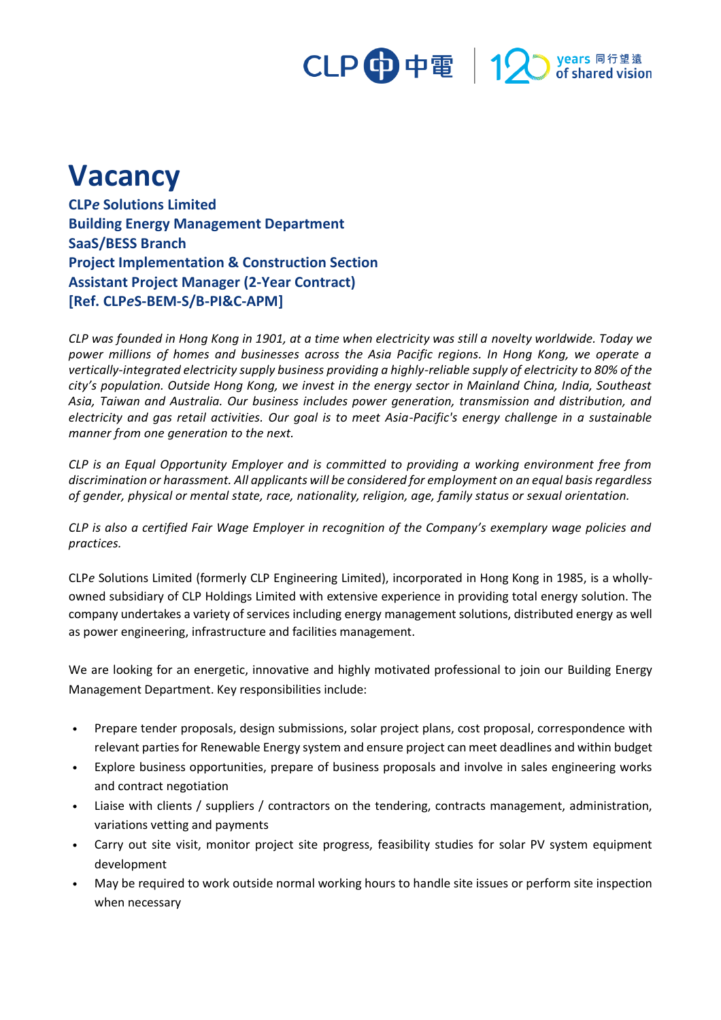## CLP 中電 | 12 years 同行望遠<br>pof shared vision

## **Vacancy**

**CLP***e* **Solutions Limited Building Energy Management Department SaaS/BESS Branch Project Implementation & Construction Section Assistant Project Manager (2-Year Contract) [Ref. CLP***e***S-BEM-S/B-PI&C-APM]**

*CLP was founded in Hong Kong in 1901, at a time when electricity was still a novelty worldwide. Today we power millions of homes and businesses across the Asia Pacific regions. In Hong Kong, we operate a vertically-integrated electricity supply business providing a highly-reliable supply of electricity to 80% of the city's population. Outside Hong Kong, we invest in the energy sector in Mainland China, India, Southeast Asia, Taiwan and Australia. Our business includes power generation, transmission and distribution, and electricity and gas retail activities. Our goal is to meet Asia-Pacific's energy challenge in a sustainable manner from one generation to the next.*

*CLP is an Equal Opportunity Employer and is committed to providing a working environment free from discrimination or harassment. All applicants will be considered for employment on an equal basis regardless of gender, physical or mental state, race, nationality, religion, age, family status or sexual orientation.*

*CLP is also a certified Fair Wage Employer in recognition of the Company's exemplary wage policies and practices.*

CLP*e* Solutions Limited (formerly CLP Engineering Limited), incorporated in Hong Kong in 1985, is a whollyowned subsidiary of CLP Holdings Limited with extensive experience in providing total energy solution. The company undertakes a variety of services including energy management solutions, distributed energy as well as power engineering, infrastructure and facilities management.

We are looking for an energetic, innovative and highly motivated professional to join our Building Energy Management Department. Key responsibilities include:

- Prepare tender proposals, design submissions, solar project plans, cost proposal, correspondence with relevant parties for Renewable Energy system and ensure project can meet deadlines and within budget
- Explore business opportunities, prepare of business proposals and involve in sales engineering works and contract negotiation
- Liaise with clients / suppliers / contractors on the tendering, contracts management, administration, variations vetting and payments
- Carry out site visit, monitor project site progress, feasibility studies for solar PV system equipment development
- May be required to work outside normal working hours to handle site issues or perform site inspection when necessary